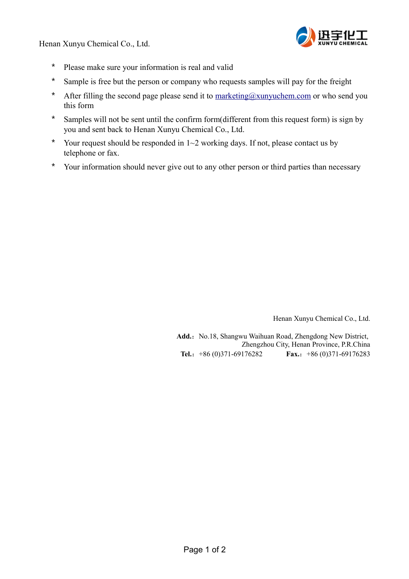Henan Xunyu Chemical Co., Ltd.



- \* Please make sure your information is real and valid
- \* Sample is free but the person or company who requests samples will pay for the freight
- \* After filling the second page please send it to  $\frac{\text{marketing}(a_x\text{unyuchen.com}}{\text{cmo}}$  or who send you this form
- \* Samples will not be sent until the confirm form(different from this request form) is sign by you and sent back to Henan Xunyu Chemical Co., Ltd.
- \* Your request should be responded in  $1~2$  working days. If not, please contact us by telephone or fax.
- \* Your information should never give out to any other person or third parties than necessary

Henan Xunyu Chemical Co., Ltd.

Add.: No.18, Shangwu Waihuan Road, Zhengdong New District, Zhengzhou City, Henan Province, P.R.China **Tel.**:+86 (0)371-69176282 **Fax.**:+86 (0)371-69176283